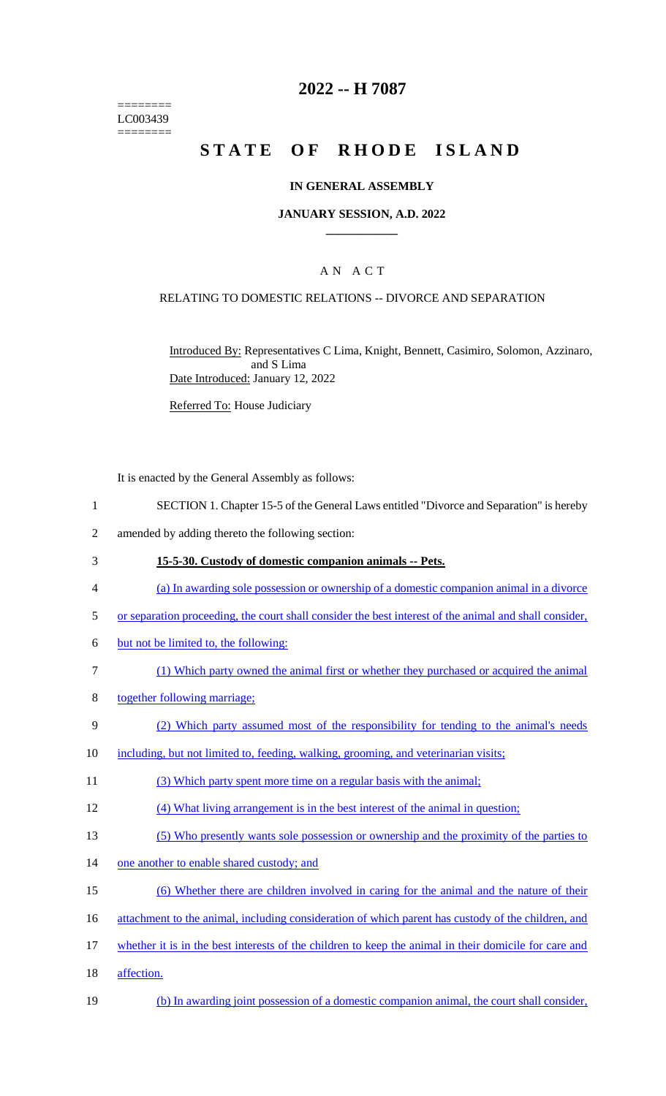======== LC003439 ========

### **2022 -- H 7087**

# **STATE OF RHODE ISLAND**

#### **IN GENERAL ASSEMBLY**

#### **JANUARY SESSION, A.D. 2022 \_\_\_\_\_\_\_\_\_\_\_\_**

### A N A C T

#### RELATING TO DOMESTIC RELATIONS -- DIVORCE AND SEPARATION

Introduced By: Representatives C Lima, Knight, Bennett, Casimiro, Solomon, Azzinaro, and S Lima Date Introduced: January 12, 2022

Referred To: House Judiciary

It is enacted by the General Assembly as follows:

- 1 SECTION 1. Chapter 15-5 of the General Laws entitled "Divorce and Separation" is hereby
- 2 amended by adding thereto the following section:
- 3 **15-5-30. Custody of domestic companion animals -- Pets.**
- 4 (a) In awarding sole possession or ownership of a domestic companion animal in a divorce
- 5 or separation proceeding, the court shall consider the best interest of the animal and shall consider,
- 6 but not be limited to, the following:
- 7 (1) Which party owned the animal first or whether they purchased or acquired the animal
- 8 together following marriage;
- 9 (2) Which party assumed most of the responsibility for tending to the animal's needs
- 10 including, but not limited to, feeding, walking, grooming, and veterinarian visits;
- 11 (3) Which party spent more time on a regular basis with the animal;
- 12 (4) What living arrangement is in the best interest of the animal in question;
- 13 (5) Who presently wants sole possession or ownership and the proximity of the parties to
- 14 one another to enable shared custody; and
- 15 (6) Whether there are children involved in caring for the animal and the nature of their
- 16 attachment to the animal, including consideration of which parent has custody of the children, and
- 17 whether it is in the best interests of the children to keep the animal in their domicile for care and
- 18 affection.
- 19 (b) In awarding joint possession of a domestic companion animal, the court shall consider,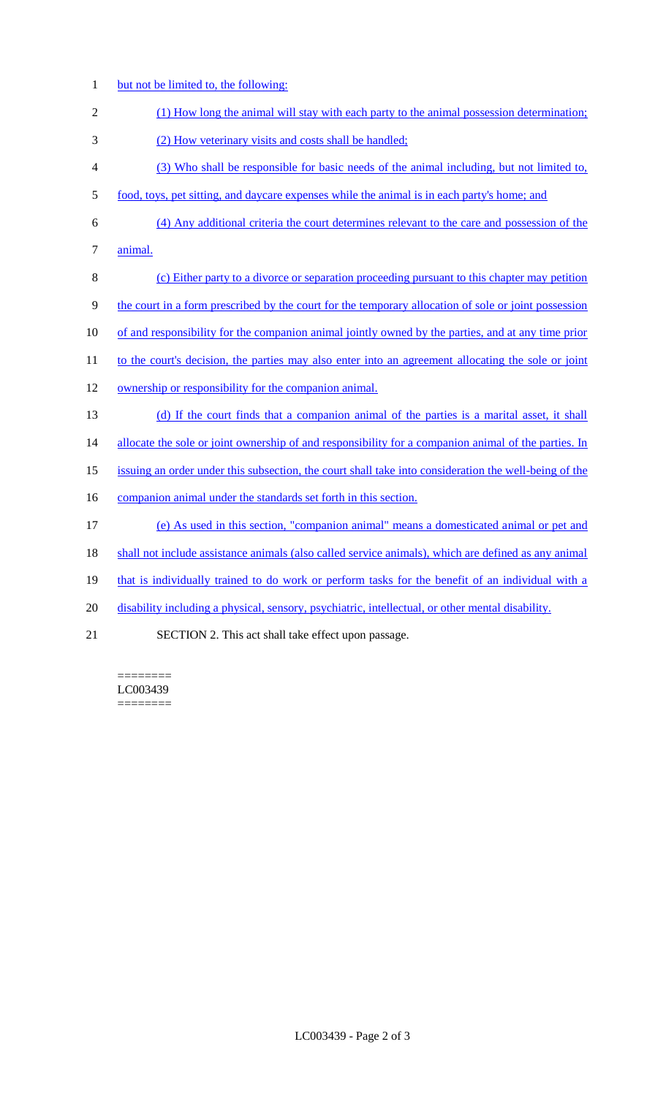- 1 but not be limited to, the following:
- 2 (1) How long the animal will stay with each party to the animal possession determination;
- 3 (2) How veterinary visits and costs shall be handled;
- 4 (3) Who shall be responsible for basic needs of the animal including, but not limited to,
- 5 food, toys, pet sitting, and daycare expenses while the animal is in each party's home; and
- 6 (4) Any additional criteria the court determines relevant to the care and possession of the 7 animal.
- 8 (c) Either party to a divorce or separation proceeding pursuant to this chapter may petition 9 the court in a form prescribed by the court for the temporary allocation of sole or joint possession
- 10 of and responsibility for the companion animal jointly owned by the parties, and at any time prior
- 11 to the court's decision, the parties may also enter into an agreement allocating the sole or joint
- 12 ownership or responsibility for the companion animal.
- 13 (d) If the court finds that a companion animal of the parties is a marital asset, it shall

14 allocate the sole or joint ownership of and responsibility for a companion animal of the parties. In

- 15 issuing an order under this subsection, the court shall take into consideration the well-being of the
- 16 companion animal under the standards set forth in this section.
- 17 (e) As used in this section, "companion animal" means a domesticated animal or pet and
- 18 shall not include assistance animals (also called service animals), which are defined as any animal
- 19 that is individually trained to do work or perform tasks for the benefit of an individual with a
- 20 disability including a physical, sensory, psychiatric, intellectual, or other mental disability.
- 21 SECTION 2. This act shall take effect upon passage.

======== LC003439 ========